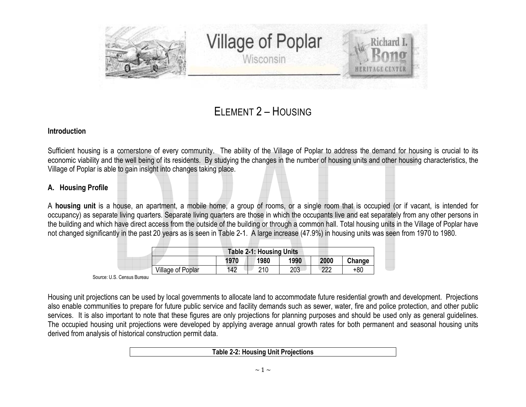

# ELEMENT 2 – <sup>H</sup>OUSING

#### **Introduction**

Sufficient housing is a cornerstone of every community. The ability of the Village of Poplar to address the demand for housing is crucial to its economic viability and the well being of its residents. By studying the changes in the number of housing units and other housing characteristics, the Village of Poplar is able to gain insight into changes taking place.

# **A. Housing Profile**

A **housing unit** is a house, an apartment, a mobile home, a group of rooms, or a single room that is occupied (or if vacant, is intended for occupancy) as separate living quarters. Separate living quarters are those in which the occupants live and eat separately from any other persons in the building and which have direct access from the outside of the building or through a common hall. Total housing units in the Village of Poplar have not changed significantly in the past 20 years as is seen in Table 2-1. A large increase (47.9%) in housing units was seen from 1970 to 1980.

| <b>Table 2-1: Housing Units</b> |      |      |      |      |        |  |  |  |  |  |
|---------------------------------|------|------|------|------|--------|--|--|--|--|--|
|                                 | 1970 | 1980 | 1990 | 2000 | Change |  |  |  |  |  |
| <b>Village of Poplar</b>        | 142  | 210  | 203  | ാറ   | +80    |  |  |  |  |  |

Source: U.S. Census Bureau

Housing unit projections can be used by local governments to allocate land to accommodate future residential growth and development. Projections also enable communities to prepare for future public service and facility demands such as sewer, water, fire and police protection, and other public services. It is also important to note that these figures are only projections for planning purposes and should be used only as general guidelines. The occupied housing unit projections were developed by applying average annual growth rates for both permanent and seasonal housing units derived from analysis of historical construction permit data.

#### **Table 2-2: Housing Unit Projections**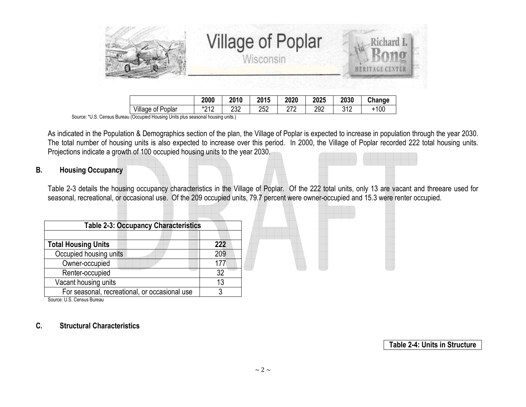|                   |      |      | <b>Village of Poplar</b><br>Wisconsin |      | T brand L<br><b>HERITAGE CENTER</b> |      |        |  |
|-------------------|------|------|---------------------------------------|------|-------------------------------------|------|--------|--|
|                   | 2000 | 2010 | 2015                                  | 2020 | 2025                                | 2030 | Change |  |
| Village of Poplar | *212 | 232  | 252                                   | 272  | 292                                 | 312  | $+100$ |  |

2 | 232 | 252 | 272 | 292 | 312 | +100 Source: \*U.S. Census Bureau (Occupied Housing Units plus seasonal housing units.)

As indicated in the Population & Demographics section of the plan, the Village of Poplar is expected to increase in population through the year 2030. The total number of housing units is also expected to increase over this period. In 2000, the Village of Poplar recorded 222 total housing units. Projections indicate a growth of 100 occupied housing units to the year 2030.

#### **B.Housing Occupancy**

Table 2-3 details the housing occupancy characteristics in the Village of Poplar. Of the 222 total units, only 13 are vacant and threeare used for seasonal, recreational, or occasional use. Of the 209 occupied units, 79.7 percent were owner-occupied and 15.3 were renter occupied.

| <b>Table 2-3: Occupancy Characteristics</b>   |     |  |  |  |  |  |
|-----------------------------------------------|-----|--|--|--|--|--|
| <b>Total Housing Units</b>                    | 222 |  |  |  |  |  |
| Occupied housing units                        | 209 |  |  |  |  |  |
| Owner-occupied                                |     |  |  |  |  |  |
| Renter-occupied                               | 32  |  |  |  |  |  |
| Vacant housing units                          | 13  |  |  |  |  |  |
| For seasonal, recreational, or occasional use |     |  |  |  |  |  |

Source: U.S. Census Bureau

#### **C.Structural Characteristics**

**Table 2-4: Units in Structure**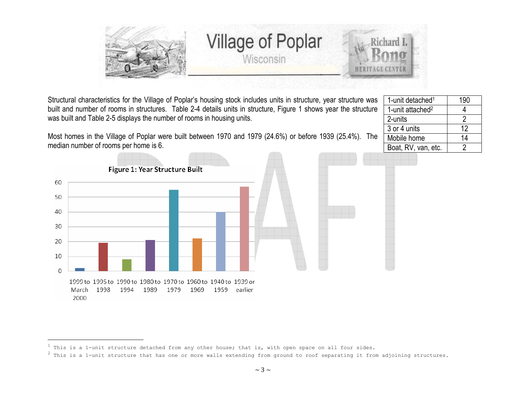

1-unit detached<sup>1</sup>  $\vert$  190 1-unit attached<sup>2</sup>  $\vert$  4

Boat, RV, van, etc. | 2

2-units

3 or 4 units

Mobile home

 $\overline{2}$ 

 $12$ 

 $14$ 

Structural characteristics for the Village of Poplar's housing stock includes units in structure, year structure was built and number of rooms in structures. Table 2-4 details units in structure, Figure 1 shows year the structure was built and Table 2-5 displays the number of rooms in housing units.

Most homes in the Village of Poplar were built between 1970 and 1979 (24.6%) or before 1939 (25.4%). The median number of rooms per home is 6.



 $1$  This is a 1-unit structure detached from any other house; that is, with open space on all four sides.

 $^2$  This is a 1-unit structure that has one or more walls extending from ground to roof separating it from adjoining structures.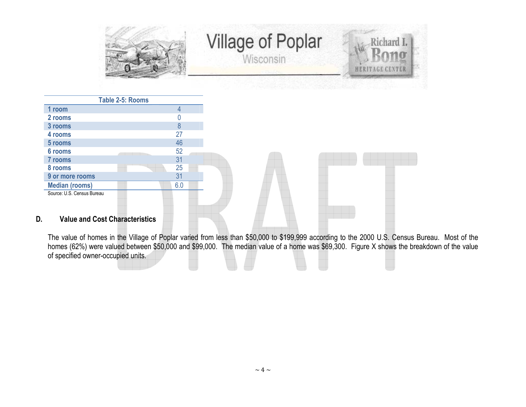

| Table 2-5: Rooms                            |     |
|---------------------------------------------|-----|
| 1 room                                      | 4   |
| 2 rooms                                     |     |
| 3 rooms                                     | 8   |
| 4 rooms                                     | 27  |
| 5 rooms                                     | 46  |
| 6 rooms                                     | 52  |
| 7 rooms                                     | 31  |
| 8 rooms                                     | 25  |
| 9 or more rooms                             | 31  |
| <b>Median (rooms)</b>                       | 6.0 |
| Source: U.S. Census Bureau                  |     |
|                                             |     |
|                                             |     |
| <b>Value and Cost Characteristics</b><br>D. |     |

The value of homes in the Village of Poplar varied from less than \$50,000 to \$199,999 according to the 2000 U.S. Census Bureau. Most of the<br>homes (62%) were valued between \$50,000 and \$99,000. The median value of a home wa of specified owner-occupied units.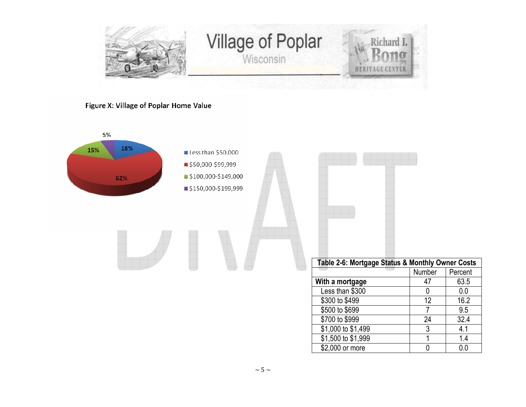

Figure X: Village of Poplar Home Value

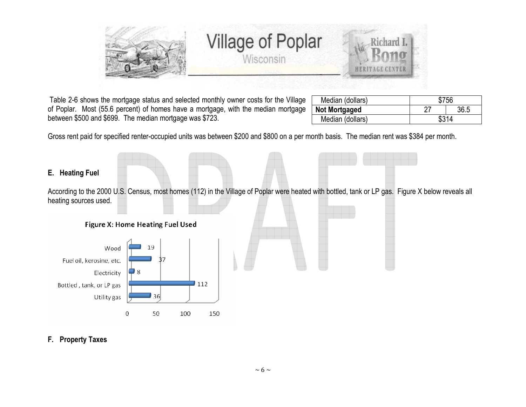

 Table 2-6 shows the mortgage status and selected monthly owner costs for the Village of Poplar. Most (55.6 percent) of homes have a mortgage, with the median mortgage between \$500 and \$699. The median mortgage was \$723.

| Median (dollars)     | \$756 |  |  |  |  |
|----------------------|-------|--|--|--|--|
| <b>Not Mortgaged</b> | 36.5  |  |  |  |  |
| Median (dollars)     | \$314 |  |  |  |  |

Gross rent paid for specified renter-occupied units was between \$200 and \$800 on a per month basis. The median rent was \$384 per month.

# **E. Heating Fuel**

According to the 2000 U.S. Census, most homes (112) in the Village of Poplar were heated with bottled, tank or LP gas. Figure X below reveals all heating sources used.





# **F. Property Taxes**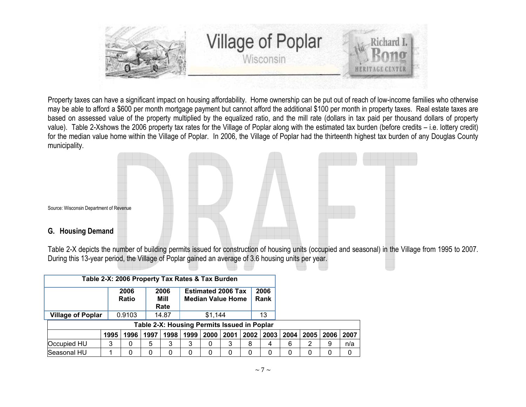

Property taxes can have a significant impact on housing affordability. Home ownership can be put out of reach of low-income families who otherwise may be able to afford a \$600 per month mortgage payment but cannot afford the additional \$100 per month in property taxes. Real estate taxes are based on assessed value of the property multiplied by the equalized ratio, and the mill rate (dollars in tax paid per thousand dollars of property value). Table 2-Xshows the 2006 property tax rates for the Village of Poplar along with the estimated tax burden (before credits – i.e. lottery credit) for the median value home within the Village of Poplar. In 2006, the Village of Poplar had the thirteenth highest tax burden of any Douglas County municipality.



Table 2-X depicts the number of building permits issued for construction of housing units (occupied and seasonal) in the Village from 1995 to 2007. During this 13-year period, the Village of Poplar gained an average of 3.6 housing units per year.

| Table 2-X: 2006 Property Tax Rates & Tax Burden |      |                      |      |                      |                                                       |      |      |              |      |      |      |      |      |
|-------------------------------------------------|------|----------------------|------|----------------------|-------------------------------------------------------|------|------|--------------|------|------|------|------|------|
|                                                 |      | 2006<br><b>Ratio</b> |      | 2006<br>Mill<br>Rate | <b>Estimated 2006 Tax</b><br><b>Median Value Home</b> |      |      | 2006<br>Rank |      |      |      |      |      |
|                                                 |      |                      |      |                      |                                                       |      |      |              |      |      |      |      |      |
| <b>Village of Poplar</b>                        |      | 0.9103               |      | 14.87                | \$1.144                                               |      | 13   |              |      |      |      |      |      |
| Table 2-X: Housing Permits Issued in Poplar     |      |                      |      |                      |                                                       |      |      |              |      |      |      |      |      |
|                                                 | 1995 | 1996                 | 1997 | 1998                 | 1999                                                  | 2000 | 2001 | 2002         | 2003 | 2004 | 2005 | 2006 | 2007 |
| Occupied HU                                     | 3    | 0                    | 5    | 3                    | 3                                                     | O    | 3    | 8            | 4    | 6    |      | 9    | n/a  |
| Seasonal HU                                     |      | 0                    | 0    | 0                    | 0                                                     | 0    | 0    | 0            | 0    | 0    |      | 0    | 0    |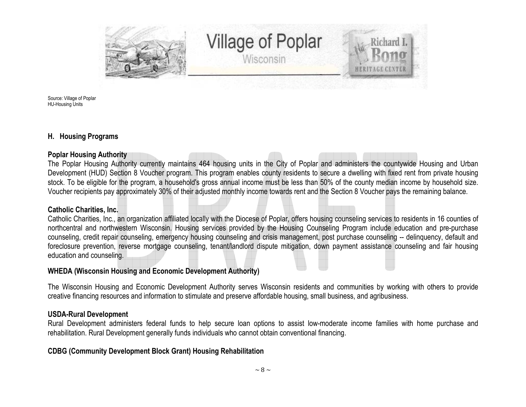

Source: Village of Poplar HU-Housing Units

## **H. Housing Programs**

#### **Poplar Housing Authority**

 The Poplar Housing Authority currently maintains 464 housing units in the City of Poplar and administers the countywide Housing and Urban Development (HUD) Section 8 Voucher program. This program enables county residents to secure a dwelling with fixed rent from private housing stock. To be eligible for the program, a household's gross annual income must be less than 50% of the county median income by household size. Voucher recipients pay approximately 30% of their adjusted monthly income towards rent and the Section 8 Voucher pays the remaining balance.

#### **Catholic Charities, Inc.**

 Catholic Charities, Inc., an organization affiliated locally with the Diocese of Poplar, offers housing counseling services to residents in 16 counties of northcentral and northwestern Wisconsin. Housing services provided by the Housing Counseling Program include education and pre-purchase counseling, credit repair counseling, emergency housing counseling and crisis management, post purchase counseling -- delinquency, default and foreclosure prevention, reverse mortgage counseling, tenant/landlord dispute mitigation, down payment assistance counseling and fair housing education and counseling.

#### **WHEDA (Wisconsin Housing and Economic Development Authority)**

The Wisconsin Housing and Economic Development Authority serves Wisconsin residents and communities by working with others to provide creative financing resources and information to stimulate and preserve affordable housing, small business, and agribusiness.

#### **USDA-Rural Development**

 Rural Development administers federal funds to help secure loan options to assist low-moderate income families with home purchase and rehabilitation. Rural Development generally funds individuals who cannot obtain conventional financing.

#### **CDBG (Community Development Block Grant) Housing Rehabilitation**